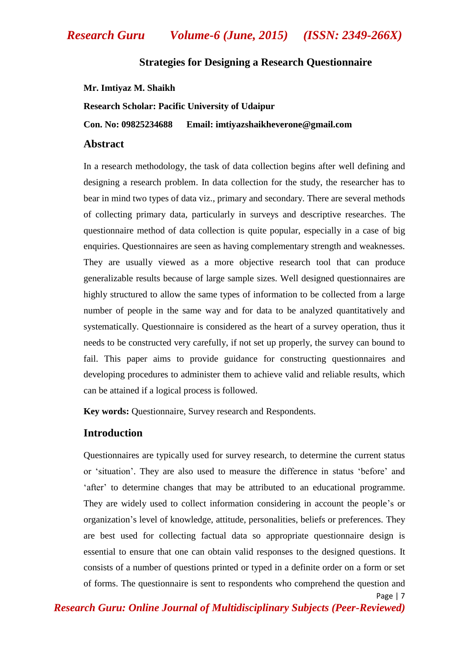## **Strategies for Designing a Research Questionnaire**

### **Mr. Imtiyaz M. Shaikh**

**Research Scholar: Pacific University of Udaipur**

**Con. No: 09825234688 Email: imtiyazshaikheverone@gmail.com**

## **Abstract**

In a research methodology, the task of data collection begins after well defining and designing a research problem. In data collection for the study, the researcher has to bear in mind two types of data viz., primary and secondary. There are several methods of collecting primary data, particularly in surveys and descriptive researches. The questionnaire method of data collection is quite popular, especially in a case of big enquiries. Questionnaires are seen as having complementary strength and weaknesses. They are usually viewed as a more objective research tool that can produce generalizable results because of large sample sizes. Well designed questionnaires are highly structured to allow the same types of information to be collected from a large number of people in the same way and for data to be analyzed quantitatively and systematically. Questionnaire is considered as the heart of a survey operation, thus it needs to be constructed very carefully, if not set up properly, the survey can bound to fail. This paper aims to provide guidance for constructing questionnaires and developing procedures to administer them to achieve valid and reliable results, which can be attained if a logical process is followed.

**Key words:** Questionnaire, Survey research and Respondents.

## **Introduction**

Questionnaires are typically used for survey research, to determine the current status or "situation". They are also used to measure the difference in status "before" and "after" to determine changes that may be attributed to an educational programme. They are widely used to collect information considering in account the people"s or organization"s level of knowledge, attitude, personalities, beliefs or preferences. They are best used for collecting factual data so appropriate questionnaire design is essential to ensure that one can obtain valid responses to the designed questions. It consists of a number of questions printed or typed in a definite order on a form or set of forms. The questionnaire is sent to respondents who comprehend the question and

Page | 7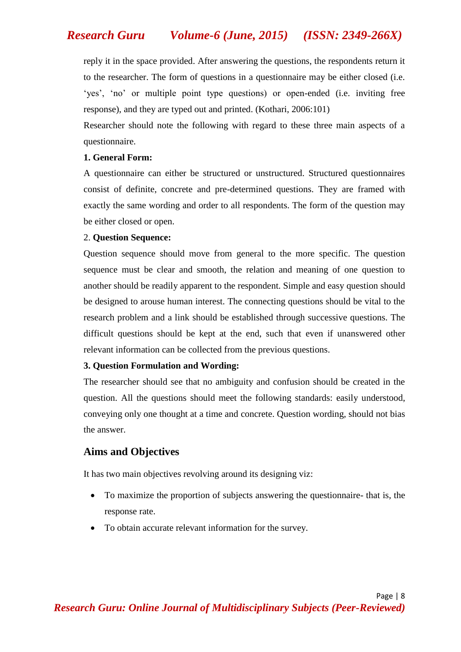reply it in the space provided. After answering the questions, the respondents return it to the researcher. The form of questions in a questionnaire may be either closed (i.e. 'yes', 'no' or multiple point type questions) or open-ended (i.e. inviting free response), and they are typed out and printed. (Kothari, 2006:101)

Researcher should note the following with regard to these three main aspects of a questionnaire.

### **1. General Form:**

A questionnaire can either be structured or unstructured. Structured questionnaires consist of definite, concrete and pre-determined questions. They are framed with exactly the same wording and order to all respondents. The form of the question may be either closed or open.

### 2. **Question Sequence:**

Question sequence should move from general to the more specific. The question sequence must be clear and smooth, the relation and meaning of one question to another should be readily apparent to the respondent. Simple and easy question should be designed to arouse human interest. The connecting questions should be vital to the research problem and a link should be established through successive questions. The difficult questions should be kept at the end, such that even if unanswered other relevant information can be collected from the previous questions.

### **3. Question Formulation and Wording:**

The researcher should see that no ambiguity and confusion should be created in the question. All the questions should meet the following standards: easily understood, conveying only one thought at a time and concrete. Question wording, should not bias the answer.

## **Aims and Objectives**

It has two main objectives revolving around its designing viz:

- To maximize the proportion of subjects answering the questionnaire- that is, the response rate.
- To obtain accurate relevant information for the survey.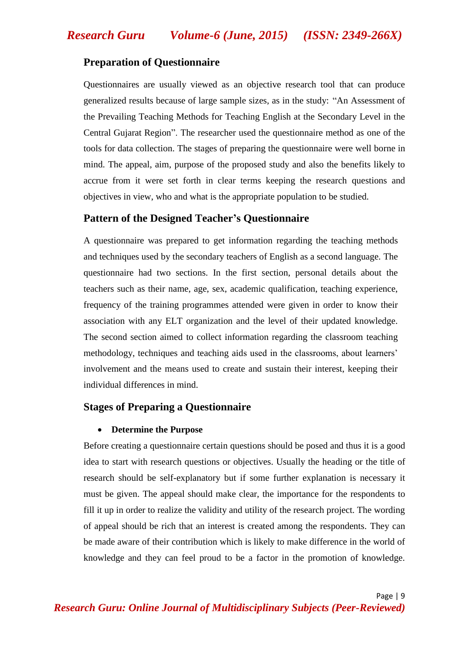## **Preparation of Questionnaire**

Questionnaires are usually viewed as an objective research tool that can produce generalized results because of large sample sizes, as in the study: "An Assessment of the Prevailing Teaching Methods for Teaching English at the Secondary Level in the Central Gujarat Region". The researcher used the questionnaire method as one of the tools for data collection. The stages of preparing the questionnaire were well borne in mind. The appeal, aim, purpose of the proposed study and also the benefits likely to accrue from it were set forth in clear terms keeping the research questions and objectives in view, who and what is the appropriate population to be studied.

## **Pattern of the Designed Teacher's Questionnaire**

A questionnaire was prepared to get information regarding the teaching methods and techniques used by the secondary teachers of English as a second language. The questionnaire had two sections. In the first section, personal details about the teachers such as their name, age, sex, academic qualification, teaching experience, frequency of the training programmes attended were given in order to know their association with any ELT organization and the level of their updated knowledge. The second section aimed to collect information regarding the classroom teaching methodology, techniques and teaching aids used in the classrooms, about learners" involvement and the means used to create and sustain their interest, keeping their individual differences in mind.

## **Stages of Preparing a Questionnaire**

### **Determine the Purpose**

Before creating a questionnaire certain questions should be posed and thus it is a good idea to start with research questions or objectives. Usually the heading or the title of research should be self-explanatory but if some further explanation is necessary it must be given. The appeal should make clear, the importance for the respondents to fill it up in order to realize the validity and utility of the research project. The wording of appeal should be rich that an interest is created among the respondents. They can be made aware of their contribution which is likely to make difference in the world of knowledge and they can feel proud to be a factor in the promotion of knowledge.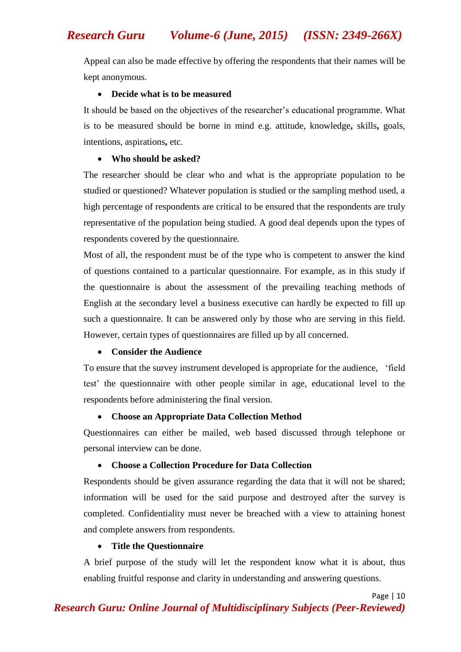Appeal can also be made effective by offering the respondents that their names will be kept anonymous.

### **Decide what is to be measured**

It should be based on the objectives of the researcher"s educational programme. What is to be measured should be borne in mind e.g. attitude, knowledge**,** skills**,** goals, intentions, aspirations**,** etc.

## **Who should be asked?**

The researcher should be clear who and what is the appropriate population to be studied or questioned? Whatever population is studied or the sampling method used, a high percentage of respondents are critical to be ensured that the respondents are truly representative of the population being studied. A good deal depends upon the types of respondents covered by the questionnaire.

Most of all, the respondent must be of the type who is competent to answer the kind of questions contained to a particular questionnaire. For example, as in this study if the questionnaire is about the assessment of the prevailing teaching methods of English at the secondary level a business executive can hardly be expected to fill up such a questionnaire. It can be answered only by those who are serving in this field. However, certain types of questionnaires are filled up by all concerned.

## **Consider the Audience**

To ensure that the survey instrument developed is appropriate for the audience, "field test" the questionnaire with other people similar in age, educational level to the respondents before administering the final version.

## **Choose an Appropriate Data Collection Method**

Questionnaires can either be mailed, web based discussed through telephone or personal interview can be done.

## **Choose a Collection Procedure for Data Collection**

Respondents should be given assurance regarding the data that it will not be shared; information will be used for the said purpose and destroyed after the survey is completed. Confidentiality must never be breached with a view to attaining honest and complete answers from respondents.

## **Title the Questionnaire**

A brief purpose of the study will let the respondent know what it is about, thus enabling fruitful response and clarity in understanding and answering questions.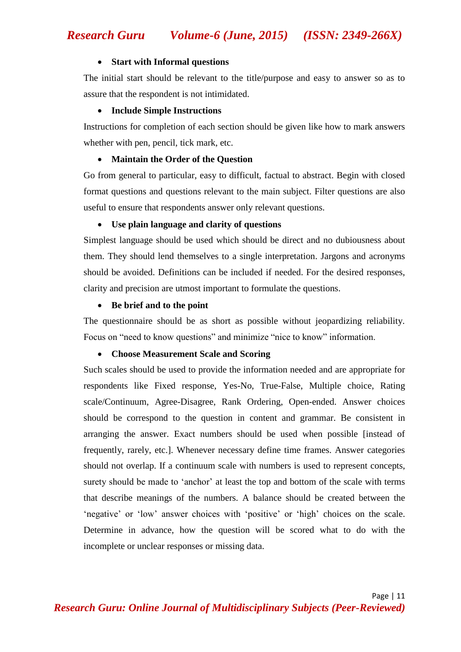#### **Start with Informal questions**

The initial start should be relevant to the title/purpose and easy to answer so as to assure that the respondent is not intimidated.

### **Include Simple Instructions**

Instructions for completion of each section should be given like how to mark answers whether with pen, pencil, tick mark, etc.

### **Maintain the Order of the Question**

Go from general to particular, easy to difficult, factual to abstract. Begin with closed format questions and questions relevant to the main subject. Filter questions are also useful to ensure that respondents answer only relevant questions.

### **Use plain language and clarity of questions**

Simplest language should be used which should be direct and no dubiousness about them. They should lend themselves to a single interpretation. Jargons and acronyms should be avoided. Definitions can be included if needed. For the desired responses, clarity and precision are utmost important to formulate the questions.

### **Be brief and to the point**

The questionnaire should be as short as possible without jeopardizing reliability. Focus on "need to know questions" and minimize "nice to know" information.

### **Choose Measurement Scale and Scoring**

Such scales should be used to provide the information needed and are appropriate for respondents like Fixed response, Yes-No, True-False, Multiple choice, Rating scale/Continuum, Agree-Disagree, Rank Ordering, Open-ended. Answer choices should be correspond to the question in content and grammar. Be consistent in arranging the answer. Exact numbers should be used when possible [instead of frequently, rarely, etc.]. Whenever necessary define time frames. Answer categories should not overlap. If a continuum scale with numbers is used to represent concepts, surety should be made to "anchor" at least the top and bottom of the scale with terms that describe meanings of the numbers. A balance should be created between the "negative" or "low" answer choices with "positive" or "high" choices on the scale. Determine in advance, how the question will be scored what to do with the incomplete or unclear responses or missing data.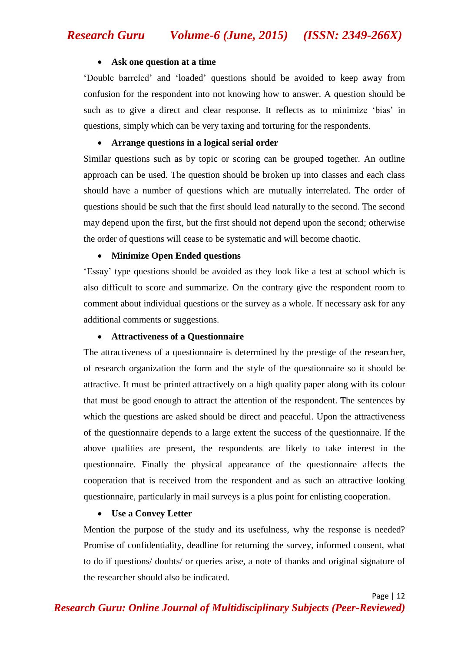### **Ask one question at a time**

"Double barreled" and "loaded" questions should be avoided to keep away from confusion for the respondent into not knowing how to answer. A question should be such as to give a direct and clear response. It reflects as to minimize 'bias' in questions, simply which can be very taxing and torturing for the respondents.

## **Arrange questions in a logical serial order**

Similar questions such as by topic or scoring can be grouped together. An outline approach can be used. The question should be broken up into classes and each class should have a number of questions which are mutually interrelated. The order of questions should be such that the first should lead naturally to the second. The second may depend upon the first, but the first should not depend upon the second; otherwise the order of questions will cease to be systematic and will become chaotic.

## **Minimize Open Ended questions**

"Essay" type questions should be avoided as they look like a test at school which is also difficult to score and summarize. On the contrary give the respondent room to comment about individual questions or the survey as a whole. If necessary ask for any additional comments or suggestions.

## **Attractiveness of a Questionnaire**

The attractiveness of a questionnaire is determined by the prestige of the researcher, of research organization the form and the style of the questionnaire so it should be attractive. It must be printed attractively on a high quality paper along with its colour that must be good enough to attract the attention of the respondent. The sentences by which the questions are asked should be direct and peaceful. Upon the attractiveness of the questionnaire depends to a large extent the success of the questionnaire. If the above qualities are present, the respondents are likely to take interest in the questionnaire. Finally the physical appearance of the questionnaire affects the cooperation that is received from the respondent and as such an attractive looking questionnaire, particularly in mail surveys is a plus point for enlisting cooperation.

## **Use a Convey Letter**

Mention the purpose of the study and its usefulness, why the response is needed? Promise of confidentiality, deadline for returning the survey, informed consent, what to do if questions/ doubts/ or queries arise, a note of thanks and original signature of the researcher should also be indicated.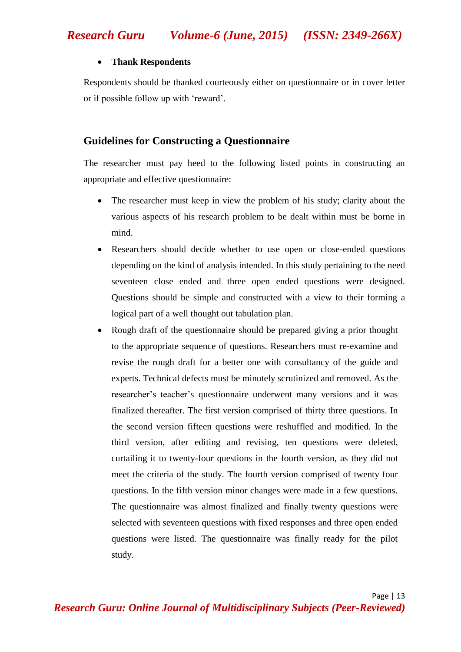## **Thank Respondents**

Respondents should be thanked courteously either on questionnaire or in cover letter or if possible follow up with "reward".

## **Guidelines for Constructing a Questionnaire**

The researcher must pay heed to the following listed points in constructing an appropriate and effective questionnaire:

- The researcher must keep in view the problem of his study; clarity about the various aspects of his research problem to be dealt within must be borne in mind.
- Researchers should decide whether to use open or close-ended questions depending on the kind of analysis intended. In this study pertaining to the need seventeen close ended and three open ended questions were designed. Questions should be simple and constructed with a view to their forming a logical part of a well thought out tabulation plan.
- Rough draft of the questionnaire should be prepared giving a prior thought to the appropriate sequence of questions. Researchers must re-examine and revise the rough draft for a better one with consultancy of the guide and experts. Technical defects must be minutely scrutinized and removed. As the researcher"s teacher"s questionnaire underwent many versions and it was finalized thereafter. The first version comprised of thirty three questions. In the second version fifteen questions were reshuffled and modified. In the third version, after editing and revising, ten questions were deleted, curtailing it to twenty-four questions in the fourth version, as they did not meet the criteria of the study. The fourth version comprised of twenty four questions. In the fifth version minor changes were made in a few questions. The questionnaire was almost finalized and finally twenty questions were selected with seventeen questions with fixed responses and three open ended questions were listed. The questionnaire was finally ready for the pilot study.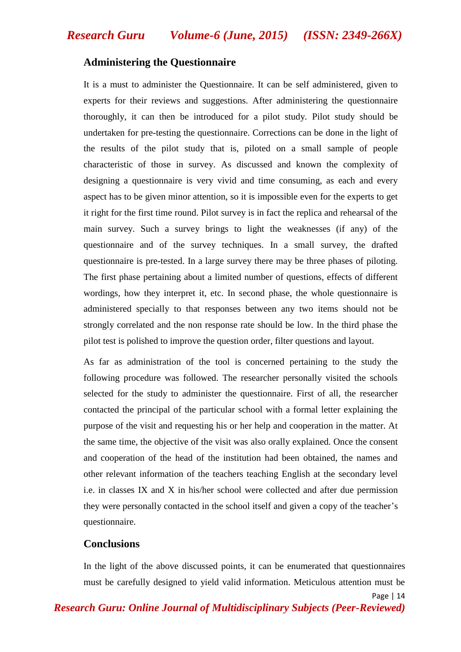## **Administering the Questionnaire**

It is a must to administer the Questionnaire. It can be self administered, given to experts for their reviews and suggestions. After administering the questionnaire thoroughly, it can then be introduced for a pilot study. Pilot study should be undertaken for pre-testing the questionnaire. Corrections can be done in the light of the results of the pilot study that is, piloted on a small sample of people characteristic of those in survey. As discussed and known the complexity of designing a questionnaire is very vivid and time consuming, as each and every aspect has to be given minor attention, so it is impossible even for the experts to get it right for the first time round. Pilot survey is in fact the replica and rehearsal of the main survey. Such a survey brings to light the weaknesses (if any) of the questionnaire and of the survey techniques. In a small survey, the drafted questionnaire is pre-tested. In a large survey there may be three phases of piloting. The first phase pertaining about a limited number of questions, effects of different wordings, how they interpret it, etc. In second phase, the whole questionnaire is administered specially to that responses between any two items should not be strongly correlated and the non response rate should be low. In the third phase the pilot test is polished to improve the question order, filter questions and layout.

As far as administration of the tool is concerned pertaining to the study the following procedure was followed. The researcher personally visited the schools selected for the study to administer the questionnaire. First of all, the researcher contacted the principal of the particular school with a formal letter explaining the purpose of the visit and requesting his or her help and cooperation in the matter. At the same time, the objective of the visit was also orally explained. Once the consent and cooperation of the head of the institution had been obtained, the names and other relevant information of the teachers teaching English at the secondary level i.e. in classes IX and X in his/her school were collected and after due permission they were personally contacted in the school itself and given a copy of the teacher"s questionnaire.

### **Conclusions**

In the light of the above discussed points, it can be enumerated that questionnaires must be carefully designed to yield valid information. Meticulous attention must be